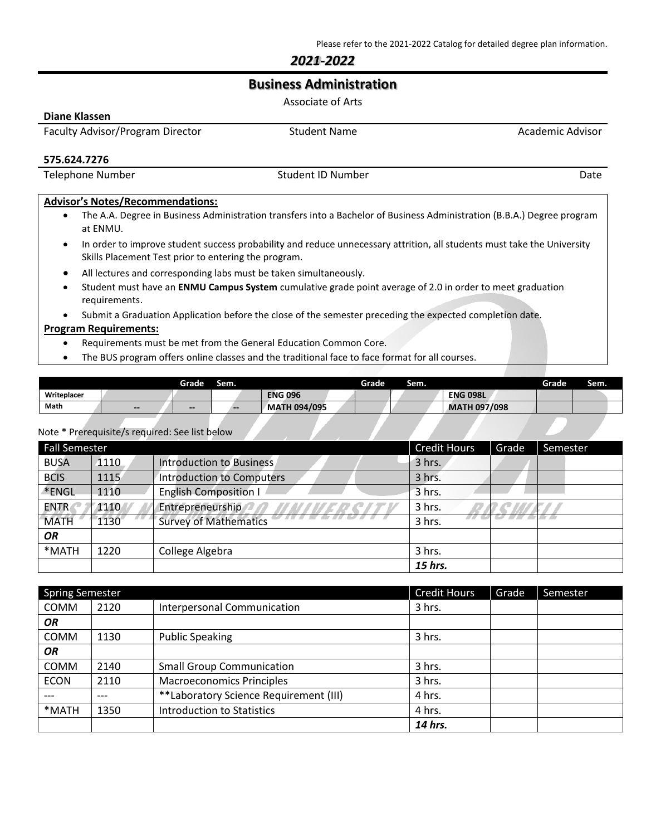## *2021-2022*

# **Business Administration**

|                                                                                                                                                                                 | Associate of Arts                                                                                                       |                  |  |  |
|---------------------------------------------------------------------------------------------------------------------------------------------------------------------------------|-------------------------------------------------------------------------------------------------------------------------|------------------|--|--|
| Diane Klassen                                                                                                                                                                   |                                                                                                                         |                  |  |  |
| Faculty Advisor/Program Director                                                                                                                                                | Student Name                                                                                                            | Academic Advisor |  |  |
| 575.624.7276                                                                                                                                                                    |                                                                                                                         |                  |  |  |
| <b>Telephone Number</b>                                                                                                                                                         | Student ID Number                                                                                                       | Date             |  |  |
| <b>Advisor's Notes/Recommendations:</b>                                                                                                                                         | The A.A. Degree in Business Administration transfers into a Bachelor of Business Administration (B.B.A.) Degree program |                  |  |  |
| at ENMU.                                                                                                                                                                        |                                                                                                                         |                  |  |  |
| In order to improve student success probability and reduce unnecessary attrition, all students must take the University<br>Skills Placement Test prior to entering the program. |                                                                                                                         |                  |  |  |
| All lectures and corresponding labs must be taken simultaneously.                                                                                                               |                                                                                                                         |                  |  |  |

- Student must have an **ENMU Campus System** cumulative grade point average of 2.0 in order to meet graduation requirements.
- Submit a Graduation Application before the close of the semester preceding the expected completion date.

#### **Program Requirements:**

- Requirements must be met from the General Education Common Core.
- The BUS program offers online classes and the traditional face to face format for all courses.

|             |                              | Grade                        | Sem.  |                     | <b>Grade</b> | Sem. |                     | Grade | Sem. |
|-------------|------------------------------|------------------------------|-------|---------------------|--------------|------|---------------------|-------|------|
| Writeplacer |                              |                              |       | <b>ENG 096</b>      |              |      | <b>ENG 098L</b>     |       |      |
| Math        | $\qquad \qquad \blacksquare$ | $\qquad \qquad \blacksquare$ | $- -$ | <b>MATH 094/095</b> |              |      | <b>MATH 097/098</b> |       |      |

#### Note \* Prerequisite/s required: See list below

| Fall Semester |      |                                  | <b>Credit Hours</b> | Grade | Semester |
|---------------|------|----------------------------------|---------------------|-------|----------|
| <b>BUSA</b>   | 1110 | <b>Introduction to Business</b>  | 3 hrs.              |       |          |
| <b>BCIS</b>   | 1115 | <b>Introduction to Computers</b> | 3 hrs.              |       |          |
| *ENGL         | 1110 | <b>English Composition I</b>     | 3 hrs.              |       |          |
| <b>ENTR</b>   | 1110 | Entrepreneurship                 | 3 hrs.              |       |          |
| MATH          | 1130 | <b>Survey of Mathematics</b>     | 3 hrs.              |       |          |
| <b>OR</b>     |      |                                  |                     |       |          |
| *MATH         | 1220 | College Algebra                  | 3 hrs.              |       |          |
|               |      |                                  | 15 hrs.             |       |          |

| <b>Spring Semester</b> |      |                                        | <b>Credit Hours</b> | Grade | Semester |
|------------------------|------|----------------------------------------|---------------------|-------|----------|
| <b>COMM</b>            | 2120 | <b>Interpersonal Communication</b>     | 3 hrs.              |       |          |
| OR                     |      |                                        |                     |       |          |
| <b>COMM</b>            | 1130 | <b>Public Speaking</b>                 | 3 hrs.              |       |          |
| OR                     |      |                                        |                     |       |          |
| <b>COMM</b>            | 2140 | <b>Small Group Communication</b>       | 3 hrs.              |       |          |
| <b>ECON</b>            | 2110 | <b>Macroeconomics Principles</b>       | 3 hrs.              |       |          |
|                        | ---  | **Laboratory Science Requirement (III) | 4 hrs.              |       |          |
| *MATH                  | 1350 | Introduction to Statistics             | 4 hrs.              |       |          |
|                        |      |                                        | 14 hrs.             |       |          |